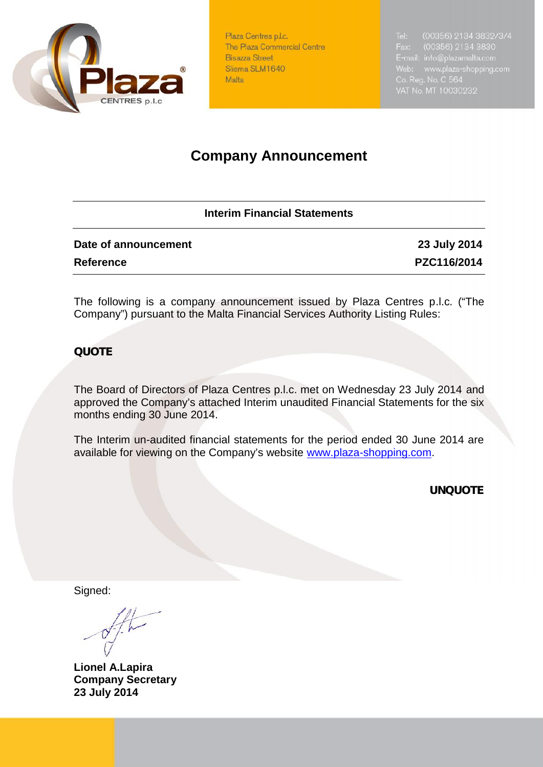

Plaza Centres p.l.c. The Plaza Commercial Centre **Bisazza Street** Sliema SLM1640 Malta

# **Company Announcement**

### **Interim Financial Statements**

| Date of announcement | 23 July 2014 |
|----------------------|--------------|
| <b>Reference</b>     | PZC116/2014  |

The following is a company announcement issued by Plaza Centres p.l.c. ("The Company") pursuant to the Malta Financial Services Authority Listing Rules:

## *QUOTE*

The Board of Directors of Plaza Centres p.l.c. met on Wednesday 23 July 2014 and approved the Company's attached Interim unaudited Financial Statements for the six months ending 30 June 2014.

The Interim un-audited financial statements for the period ended 30 June 2014 are available for viewing on the Company's website www.plaza-shopping.com.

*UNQUOTE*

Signed:

**Lionel A.Lapira Company Secretary 23 July 2014**